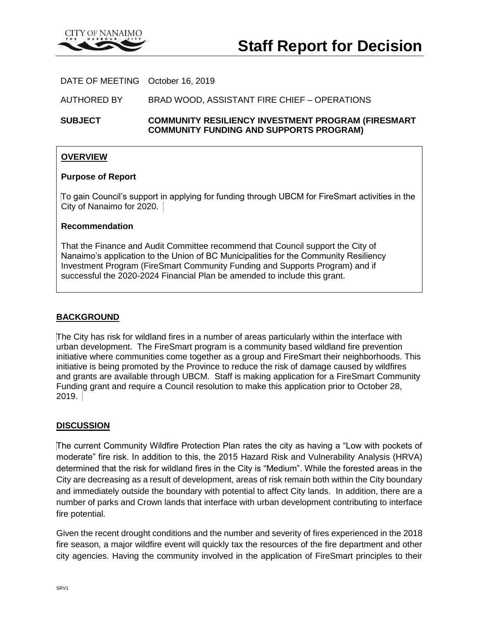

DATE OF MEETING October 16, 2019

AUTHORED BY BRAD WOOD, ASSISTANT FIRE CHIEF – OPERATIONS

**SUBJECT COMMUNITY RESILIENCY INVESTMENT PROGRAM (FIRESMART COMMUNITY FUNDING AND SUPPORTS PROGRAM)**

## **OVERVIEW**

#### **Purpose of Report**

To gain Council's support in applying for funding through UBCM for FireSmart activities in the City of Nanaimo for 2020.

### **Recommendation**

That the Finance and Audit Committee recommend that Council support the City of Nanaimo's application to the Union of BC Municipalities for the Community Resiliency Investment Program (FireSmart Community Funding and Supports Program) and if successful the 2020-2024 Financial Plan be amended to include this grant.

### **BACKGROUND**

The City has risk for wildland fires in a number of areas particularly within the interface with urban development. The FireSmart program is a community based wildland fire prevention initiative where communities come together as a group and FireSmart their neighborhoods. This initiative is being promoted by the Province to reduce the risk of damage caused by wildfires and grants are available through UBCM. Staff is making application for a FireSmart Community Funding grant and require a Council resolution to make this application prior to October 28, 2019.

### **DISCUSSION**

The current Community Wildfire Protection Plan rates the city as having a "Low with pockets of moderate" fire risk. In addition to this, the 2015 Hazard Risk and Vulnerability Analysis (HRVA) determined that the risk for wildland fires in the City is "Medium". While the forested areas in the City are decreasing as a result of development, areas of risk remain both within the City boundary and immediately outside the boundary with potential to affect City lands. In addition, there are a number of parks and Crown lands that interface with urban development contributing to interface fire potential.

Given the recent drought conditions and the number and severity of fires experienced in the 2018 fire season, a major wildfire event will quickly tax the resources of the fire department and other city agencies. Having the community involved in the application of FireSmart principles to their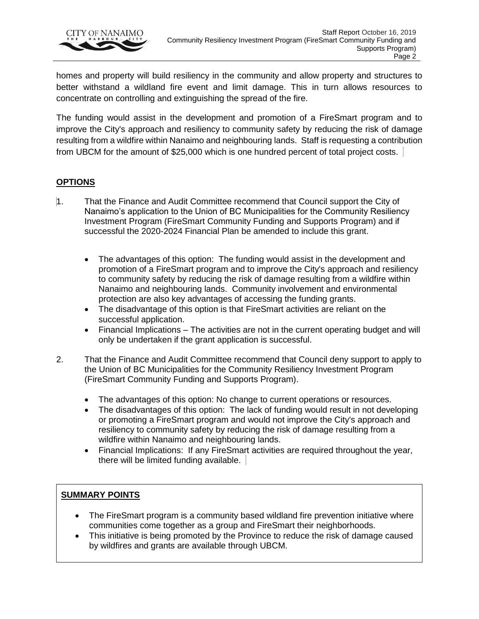

homes and property will build resiliency in the community and allow property and structures to better withstand a wildland fire event and limit damage. This in turn allows resources to concentrate on controlling and extinguishing the spread of the fire.

The funding would assist in the development and promotion of a FireSmart program and to improve the City's approach and resiliency to community safety by reducing the risk of damage resulting from a wildfire within Nanaimo and neighbouring lands. Staff is requesting a contribution from UBCM for the amount of \$25,000 which is one hundred percent of total project costs.

## **OPTIONS**

- 1. That the Finance and Audit Committee recommend that Council support the City of Nanaimo's application to the Union of BC Municipalities for the Community Resiliency Investment Program (FireSmart Community Funding and Supports Program) and if successful the 2020-2024 Financial Plan be amended to include this grant.
	- The advantages of this option: The funding would assist in the development and promotion of a FireSmart program and to improve the City's approach and resiliency to community safety by reducing the risk of damage resulting from a wildfire within Nanaimo and neighbouring lands. Community involvement and environmental protection are also key advantages of accessing the funding grants.
	- The disadvantage of this option is that FireSmart activities are reliant on the successful application.
	- Financial Implications The activities are not in the current operating budget and will only be undertaken if the grant application is successful.
- 2. That the Finance and Audit Committee recommend that Council deny support to apply to the Union of BC Municipalities for the Community Resiliency Investment Program (FireSmart Community Funding and Supports Program).
	- The advantages of this option: No change to current operations or resources.
	- The disadvantages of this option: The lack of funding would result in not developing or promoting a FireSmart program and would not improve the City's approach and resiliency to community safety by reducing the risk of damage resulting from a wildfire within Nanaimo and neighbouring lands.
	- Financial Implications: If any FireSmart activities are required throughout the year, there will be limited funding available.

## **SUMMARY POINTS**

- The FireSmart program is a community based wildland fire prevention initiative where communities come together as a group and FireSmart their neighborhoods.
- This initiative is being promoted by the Province to reduce the risk of damage caused by wildfires and grants are available through UBCM.